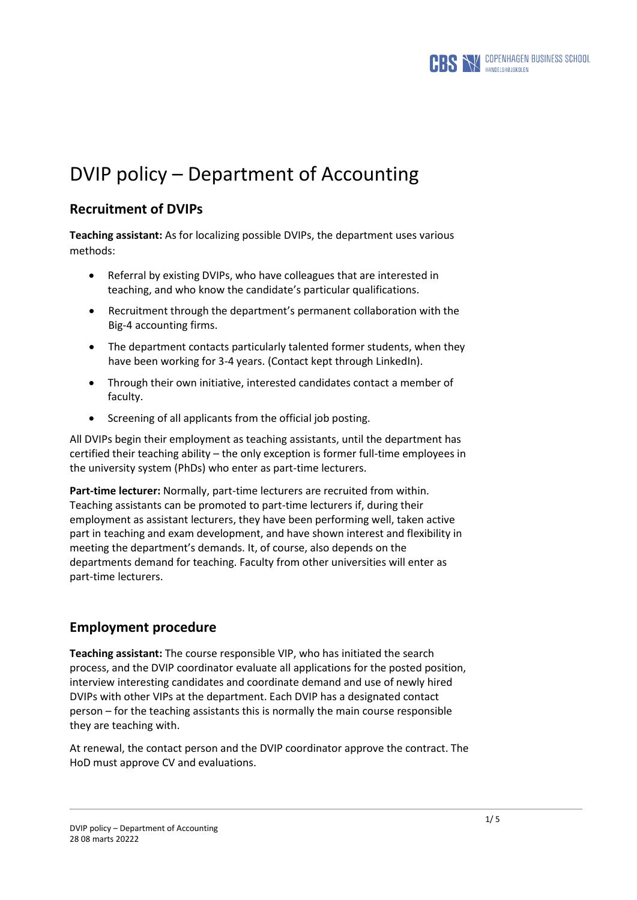

# DVIP policy – Department of Accounting

## **Recruitment of DVIPs**

**Teaching assistant:** As for localizing possible DVIPs, the department uses various methods:

- Referral by existing DVIPs, who have colleagues that are interested in teaching, and who know the candidate's particular qualifications.
- Recruitment through the department's permanent collaboration with the Big-4 accounting firms.
- The department contacts particularly talented former students, when they have been working for 3-4 years. (Contact kept through LinkedIn).
- Through their own initiative, interested candidates contact a member of faculty.
- Screening of all applicants from the official job posting.

All DVIPs begin their employment as teaching assistants, until the department has certified their teaching ability – the only exception is former full-time employees in the university system (PhDs) who enter as part-time lecturers.

**Part-time lecturer:** Normally, part-time lecturers are recruited from within. Teaching assistants can be promoted to part-time lecturers if, during their employment as assistant lecturers, they have been performing well, taken active part in teaching and exam development, and have shown interest and flexibility in meeting the department's demands. It, of course, also depends on the departments demand for teaching. Faculty from other universities will enter as part-time lecturers.

## **Employment procedure**

**Teaching assistant:** The course responsible VIP, who has initiated the search process, and the DVIP coordinator evaluate all applications for the posted position, interview interesting candidates and coordinate demand and use of newly hired DVIPs with other VIPs at the department. Each DVIP has a designated contact person – for the teaching assistants this is normally the main course responsible they are teaching with.

At renewal, the contact person and the DVIP coordinator approve the contract. The HoD must approve CV and evaluations.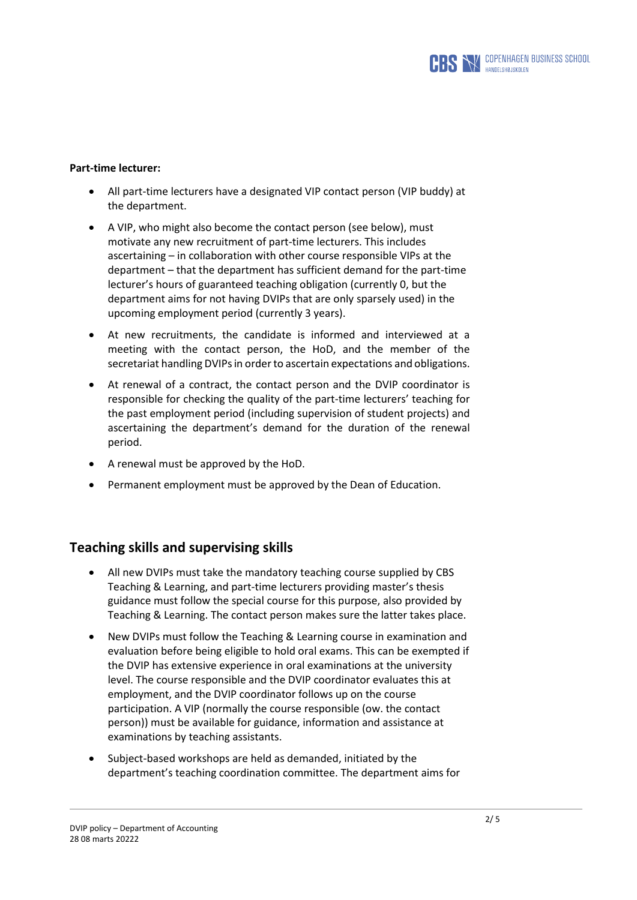

#### **Part-time lecturer:**

- All part-time lecturers have a designated VIP contact person (VIP buddy) at the department.
- A VIP, who might also become the contact person (see below), must motivate any new recruitment of part-time lecturers. This includes ascertaining – in collaboration with other course responsible VIPs at the department – that the department has sufficient demand for the part-time lecturer's hours of guaranteed teaching obligation (currently 0, but the department aims for not having DVIPs that are only sparsely used) in the upcoming employment period (currently 3 years).
- At new recruitments, the candidate is informed and interviewed at a meeting with the contact person, the HoD, and the member of the secretariat handling DVIPs in order to ascertain expectations and obligations.
- At renewal of a contract, the contact person and the DVIP coordinator is responsible for checking the quality of the part-time lecturers' teaching for the past employment period (including supervision of student projects) and ascertaining the department's demand for the duration of the renewal period.
- A renewal must be approved by the HoD.
- Permanent employment must be approved by the Dean of Education.

#### **Teaching skills and supervising skills**

- All new DVIPs must take the mandatory teaching course supplied by CBS Teaching & Learning, and part-time lecturers providing master's thesis guidance must follow the special course for this purpose, also provided by Teaching & Learning. The contact person makes sure the latter takes place.
- New DVIPs must follow the Teaching & Learning course in examination and evaluation before being eligible to hold oral exams. This can be exempted if the DVIP has extensive experience in oral examinations at the university level. The course responsible and the DVIP coordinator evaluates this at employment, and the DVIP coordinator follows up on the course participation. A VIP (normally the course responsible (ow. the contact person)) must be available for guidance, information and assistance at examinations by teaching assistants.
- Subject-based workshops are held as demanded, initiated by the department's teaching coordination committee. The department aims for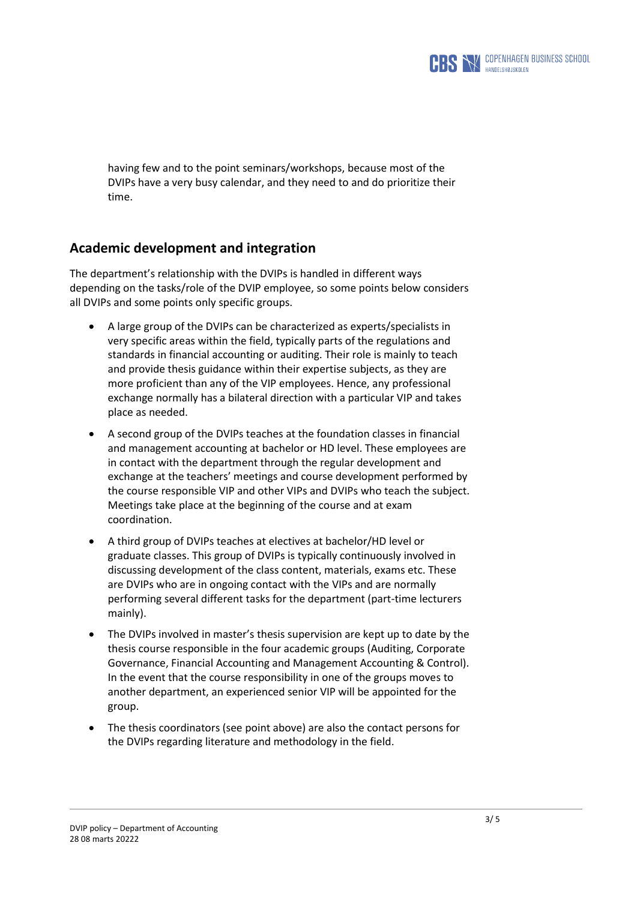

having few and to the point seminars/workshops, because most of the DVIPs have a very busy calendar, and they need to and do prioritize their time.

### **Academic development and integration**

The department's relationship with the DVIPs is handled in different ways depending on the tasks/role of the DVIP employee, so some points below considers all DVIPs and some points only specific groups.

- A large group of the DVIPs can be characterized as experts/specialists in very specific areas within the field, typically parts of the regulations and standards in financial accounting or auditing. Their role is mainly to teach and provide thesis guidance within their expertise subjects, as they are more proficient than any of the VIP employees. Hence, any professional exchange normally has a bilateral direction with a particular VIP and takes place as needed.
- A second group of the DVIPs teaches at the foundation classes in financial and management accounting at bachelor or HD level. These employees are in contact with the department through the regular development and exchange at the teachers' meetings and course development performed by the course responsible VIP and other VIPs and DVIPs who teach the subject. Meetings take place at the beginning of the course and at exam coordination.
- A third group of DVIPs teaches at electives at bachelor/HD level or graduate classes. This group of DVIPs is typically continuously involved in discussing development of the class content, materials, exams etc. These are DVIPs who are in ongoing contact with the VIPs and are normally performing several different tasks for the department (part-time lecturers mainly).
- The DVIPs involved in master's thesis supervision are kept up to date by the thesis course responsible in the four academic groups (Auditing, Corporate Governance, Financial Accounting and Management Accounting & Control). In the event that the course responsibility in one of the groups moves to another department, an experienced senior VIP will be appointed for the group.
- The thesis coordinators (see point above) are also the contact persons for the DVIPs regarding literature and methodology in the field.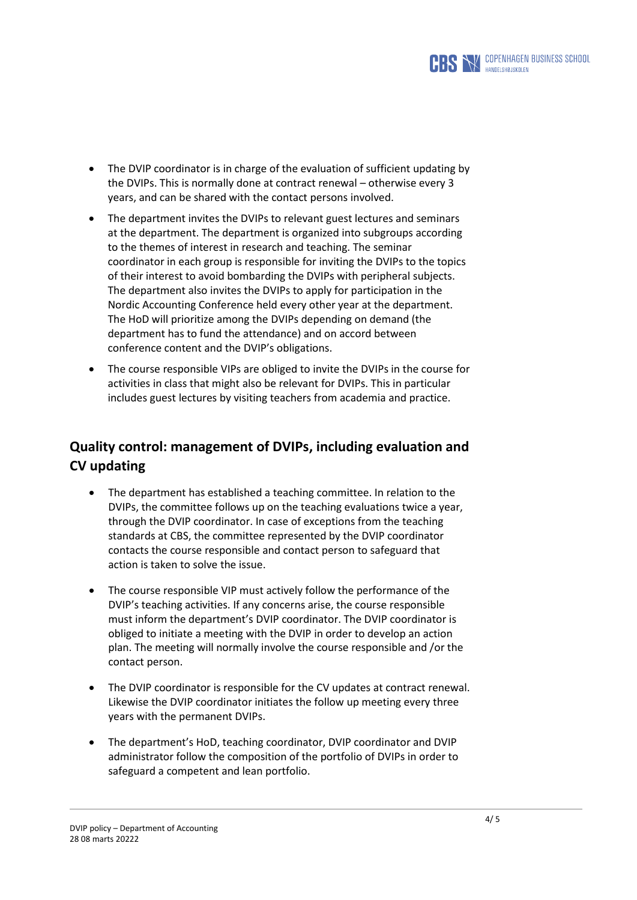

- The DVIP coordinator is in charge of the evaluation of sufficient updating by the DVIPs. This is normally done at contract renewal – otherwise every 3 years, and can be shared with the contact persons involved.
- The department invites the DVIPs to relevant guest lectures and seminars at the department. The department is organized into subgroups according to the themes of interest in research and teaching. The seminar coordinator in each group is responsible for inviting the DVIPs to the topics of their interest to avoid bombarding the DVIPs with peripheral subjects. The department also invites the DVIPs to apply for participation in the Nordic Accounting Conference held every other year at the department. The HoD will prioritize among the DVIPs depending on demand (the department has to fund the attendance) and on accord between conference content and the DVIP's obligations.
- The course responsible VIPs are obliged to invite the DVIPs in the course for activities in class that might also be relevant for DVIPs. This in particular includes guest lectures by visiting teachers from academia and practice.

## **Quality control: management of DVIPs, including evaluation and CV updating**

- The department has established a teaching committee. In relation to the DVIPs, the committee follows up on the teaching evaluations twice a year, through the DVIP coordinator. In case of exceptions from the teaching standards at CBS, the committee represented by the DVIP coordinator contacts the course responsible and contact person to safeguard that action is taken to solve the issue.
- The course responsible VIP must actively follow the performance of the DVIP's teaching activities. If any concerns arise, the course responsible must inform the department's DVIP coordinator. The DVIP coordinator is obliged to initiate a meeting with the DVIP in order to develop an action plan. The meeting will normally involve the course responsible and /or the contact person.
- The DVIP coordinator is responsible for the CV updates at contract renewal. Likewise the DVIP coordinator initiates the follow up meeting every three years with the permanent DVIPs.
- The department's HoD, teaching coordinator, DVIP coordinator and DVIP administrator follow the composition of the portfolio of DVIPs in order to safeguard a competent and lean portfolio.